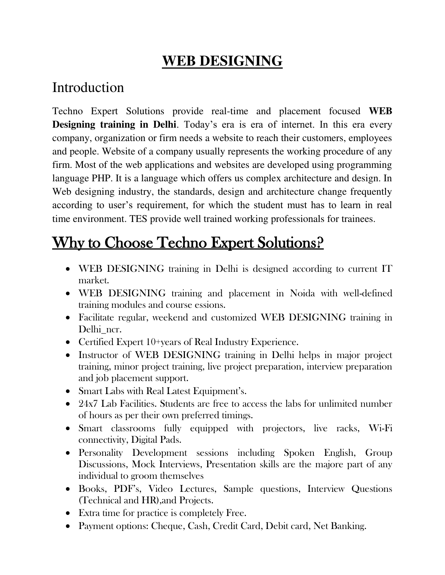## **WEB DESIGNING**

#### Introduction

Techno Expert Solutions provide real-time and placement focused **WEB Designing training in Delhi**. Today's era is era of internet. In this era every company, organization or firm needs a website to reach their customers, employees and people. Website of a company usually represents the working procedure of any firm. Most of the web applications and websites are developed using programming language PHP. It is a language which offers us complex architecture and design. In Web designing industry, the standards, design and architecture change frequently according to user's requirement, for which the student must has to learn in real time environment. TES provide well trained working professionals for trainees.

# Why to Choose Techno Expert Solutions?

- WEB DESIGNING training in Delhi is designed according to current IT market.
- WEB DESIGNING training and placement in Noida with well-defined training modules and course essions.
- Facilitate regular, weekend and customized WEB DESIGNING training in Delhi\_ncr.
- Certified Expert 10+years of Real Industry Experience.
- Instructor of WEB DESIGNING training in Delhi helps in major project training, minor project training, live project preparation, interview preparation and job placement support.
- Smart Labs with Real Latest Equipment's.
- 24x7 Lab Facilities. Students are free to access the labs for unlimited number of hours as per their own preferred timings.
- Smart classrooms fully equipped with projectors, live racks, Wi-Fi connectivity, Digital Pads.
- Personality Development sessions including Spoken English, Group Discussions, Mock Interviews, Presentation skills are the majore part of any individual to groom themselves
- Books, PDF's, Video Lectures, Sample questions, Interview Questions (Technical and HR),and Projects.
- Extra time for practice is completely Free.
- Payment options: Cheque, Cash, Credit Card, Debit card, Net Banking.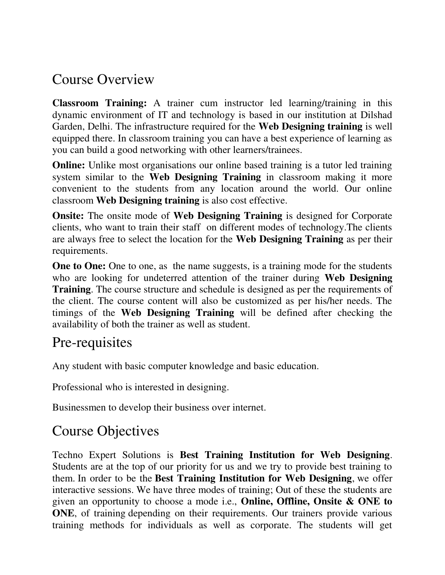#### Course Overview

**Classroom Training:** A trainer cum instructor led learning/training in this dynamic environment of IT and technology is based in our institution at Dilshad Garden, Delhi. The infrastructure required for the **Web Designing training** is well equipped there. In classroom training you can have a best experience of learning as you can build a good networking with other learners/trainees.

**Online:** Unlike most organisations our online based training is a tutor led training system similar to the **Web Designing Training** in classroom making it more convenient to the students from any location around the world. Our online classroom **Web Designing training** is also cost effective.

**Onsite:** The onsite mode of **Web Designing Training** is designed for Corporate clients, who want to train their staff on different modes of technology.The clients are always free to select the location for the **Web Designing Training** as per their requirements.

**One to One:** One to one, as the name suggests, is a training mode for the students who are looking for undeterred attention of the trainer during **Web Designing Training**. The course structure and schedule is designed as per the requirements of the client. The course content will also be customized as per his/her needs. The timings of the **Web Designing Training** will be defined after checking the availability of both the trainer as well as student.

#### Pre-requisites

Any student with basic computer knowledge and basic education.

Professional who is interested in designing.

Businessmen to develop their business over internet.

## Course Objectives

Techno Expert Solutions is **Best Training Institution for Web Designing**. Students are at the top of our priority for us and we try to provide best training to them. In order to be the **Best Training Institution for Web Designing**, we offer interactive sessions. We have three modes of training; Out of these the students are given an opportunity to choose a mode i.e., **Online, Offline, Onsite & ONE to ONE**, of training depending on their requirements. Our trainers provide various training methods for individuals as well as corporate. The students will get